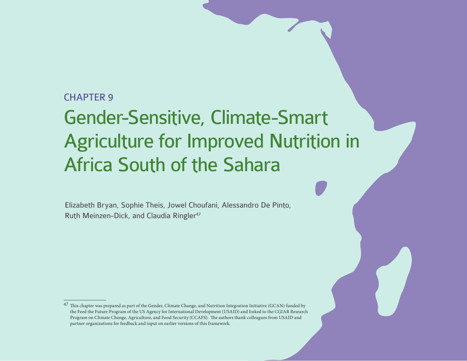## CHAPTER 9

# Gender-Sensitive, Climate-Smart Agriculture for Improved Nutrition in Africa South of the Sahara

Elizabeth Bryan, Sophie Theis, Jowel Choufani, Alessandro De Pinto, Ruth Meinzen-Dick, and Claudia Ringler<sup>47</sup>

<sup>47</sup> This chapter was prepared as part of the Gender, Climate Change, and Nutrition Integration Initiative (GCAN) funded by the Feed the Future Program of the US Agency for International Development (USAID) and linked to the CGIAR Research Program on Climate Change, Agriculture, and Food Security (CCAFS). The authors thank colleagues from USAID and partner organizations for feedback and input on earlier versions of this framework.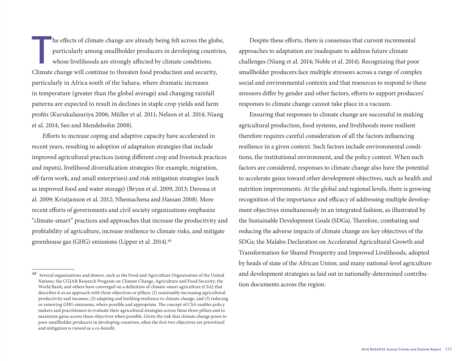The effects of climate change are already being felt across the globe,<br>particularly among smallholder producers in developing countries<br>whose livelihoods are strongly affected by climate conditions.<br>Climate change will con particularly among smallholder producers in developing countries, whose livelihoods are strongly affected by climate conditions. Climate change will continue to threaten food production and security, particularly in Africa south of the Sahara, where dramatic increases in temperature (greater than the global average) and changing rainfall patterns are expected to result in declines in staple crop yields and farm profits (Kurukulasuriya 2006; Müller et al. 2011; Nelson et al. 2014; Niang et al. 2014; Seo and Mendelsohn 2008).

Efforts to increase coping and adaptive capacity have accelerated in recent years, resulting in adoption of adaptation strategies that include improved agricultural practices (using different crop and livestock practices and inputs), livelihood diversification strategies (for example, migration, off-farm work, and small enterprises) and risk mitigation strategies (such as improved food and water storage) (Bryan et al. 2009, 2013; Deressa et al. 2009; Kristjanson et al. 2012; Nhemachena and Hassan 2008). More recent efforts of governments and civil society organizations emphasize "climate-smart" practices and approaches that increase the productivity and profitability of agriculture, increase resilience to climate risks, and mitigate greenhouse gas (GHG) emissions (Lipper et al. 2014).<sup>48</sup>

Despite these efforts, there is consensus that current incremental approaches to adaptation are inadequate to address future climate challenges (Niang et al. 2014; Noble et al. 2014). Recognizing that poor smallholder producers face multiple stressors across a range of complex social and environmental contexts and that resources to respond to these stressors differ by gender and other factors, efforts to support producers' responses to climate change cannot take place in a vacuum.

Ensuring that responses to climate change are successful in making agricultural production, food systems, and livelihoods more resilient therefore requires careful consideration of all the factors influencing resilience in a given context. Such factors include environmental conditions, the institutional environment, and the policy context. When such factors are considered, responses to climate change also have the potential to accelerate gains toward other development objectives, such as health and nutrition improvements. At the global and regional levels, there is growing recognition of the importance and efficacy of addressing multiple development objectives simultaneously in an integrated fashion, as illustrated by the Sustainable Development Goals (SDGs). Therefore, combating and reducing the adverse impacts of climate change are key objectives of the SDGs; the Malabo Declaration on Accelerated Agricultural Growth and Transformation for Shared Prosperity and Improved Livelihoods, adopted by heads of state of the African Union; and many national-level agriculture and development strategies as laid out in nationally-determined contribution documents across the region.

<sup>48</sup> Several organizations and donors, such as the Food and Agriculture Organization of the United Nations; the CGIAR Research Program on Climate Change, Agriculture and Food Security; the World Bank; and others have converged on a definition of climate-smart agriculture (CSA) that describes it as an approach with three objectives or pillars: (1) sustainably increasing agricultural productivity and incomes, (2) adapting and building resilience to climate change, and (3) reducing or removing GHG emissions, where possible and appropriate. The concept of CSA enables policy makers and practitioners to evaluate their agricultural strategies across these three pillars and to maximize gains across these objectives when possible. Given the risk that climate change poses to poor smallholder producers in developing countries, often the first two objectives are prioritized and mitigation is viewed as a co-benefit.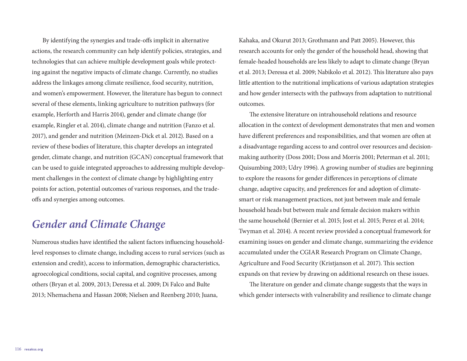By identifying the synergies and trade-offs implicit in alternative actions, the research community can help identify policies, strategies, and technologies that can achieve multiple development goals while protecting against the negative impacts of climate change. Currently, no studies address the linkages among climate resilience, food security, nutrition, and women's empowerment. However, the literature has begun to connect several of these elements, linking agriculture to nutrition pathways (for example, Herforth and Harris 2014), gender and climate change (for example, Ringler et al. 2014), climate change and nutrition (Fanzo et al. 2017), and gender and nutrition (Meinzen-Dick et al. 2012). Based on a review of these bodies of literature, this chapter develops an integrated gender, climate change, and nutrition (GCAN) conceptual framework that can be used to guide integrated approaches to addressing multiple development challenges in the context of climate change by highlighting entry points for action, potential outcomes of various responses, and the tradeoffs and synergies among outcomes.

## *Gender and Climate Change*

Numerous studies have identified the salient factors influencing householdlevel responses to climate change, including access to rural services (such as extension and credit), access to information, demographic characteristics, agroecological conditions, social capital, and cognitive processes, among others (Bryan et al. 2009, 2013; Deressa et al. 2009; Di Falco and Bulte 2013; Nhemachena and Hassan 2008; Nielsen and Reenberg 2010; Juana,

Kahaka, and Okurut 2013; Grothmann and Patt 2005). However, this research accounts for only the gender of the household head, showing that female-headed households are less likely to adapt to climate change (Bryan et al. 2013; Deressa et al. 2009; Nabikolo et al. 2012). This literature also pays little attention to the nutritional implications of various adaptation strategies and how gender intersects with the pathways from adaptation to nutritional outcomes.

The extensive literature on intrahousehold relations and resource allocation in the context of development demonstrates that men and women have different preferences and responsibilities, and that women are often at a disadvantage regarding access to and control over resources and decisionmaking authority (Doss 2001; Doss and Morris 2001; Peterman et al. 2011; Quisumbing 2003; Udry 1996). A growing number of studies are beginning to explore the reasons for gender differences in perceptions of climate change, adaptive capacity, and preferences for and adoption of climatesmart or risk management practices, not just between male and female household heads but between male and female decision makers within the same household (Bernier et al. 2015; Jost et al. 2015; Perez et al. 2014; Twyman et al. 2014). A recent review provided a conceptual framework for examining issues on gender and climate change, summarizing the evidence accumulated under the CGIAR Research Program on Climate Change, Agriculture and Food Security (Kristjanson et al. 2017). This section expands on that review by drawing on additional research on these issues.

The literature on gender and climate change suggests that the ways in which gender intersects with vulnerability and resilience to climate change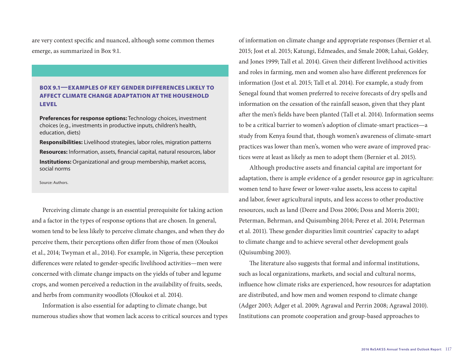are very context specific and nuanced, although some common themes emerge, as summarized in Box 9.1.

#### BOX 9.1—EXAMPLES OF KEY GENDER DIFFERENCES LIKELY TO AFFECT CLIMATE CHANGE ADAPTATION AT THE HOUSEHOLD LEVEL

**Preferences for response options:** Technology choices, investment choices (e.g., investments in productive inputs, children's health, education, diets)

**Responsibilities:** Livelihood strategies, labor roles, migration patterns **Resources:** Information, assets, financial capital, natural resources, labor **Institutions:** Organizational and group membership, market access, social norms

Source: Authors.

Perceiving climate change is an essential prerequisite for taking action and a factor in the types of response options that are chosen. In general, women tend to be less likely to perceive climate changes, and when they do perceive them, their perceptions often differ from those of men (Oloukoi et al., 2014; Twyman et al., 2014). For example, in Nigeria, these perception differences were related to gender-specific livelihood activities—men were concerned with climate change impacts on the yields of tuber and legume crops, and women perceived a reduction in the availability of fruits, seeds, and herbs from community woodlots (Oloukoi et al. 2014).

Information is also essential for adapting to climate change, but numerous studies show that women lack access to critical sources and types of information on climate change and appropriate responses (Bernier et al. 2015; Jost et al. 2015; Katungi, Edmeades, and Smale 2008; Lahai, Goldey, and Jones 1999; Tall et al. 2014). Given their different livelihood activities and roles in farming, men and women also have different preferences for information (Jost et al. 2015; Tall et al. 2014). For example, a study from Senegal found that women preferred to receive forecasts of dry spells and information on the cessation of the rainfall season, given that they plant after the men's fields have been planted (Tall et al. 2014). Information seems to be a critical barrier to women's adoption of climate-smart practices—a study from Kenya found that, though women's awareness of climate-smart practices was lower than men's, women who were aware of improved practices were at least as likely as men to adopt them (Bernier et al. 2015).

Although productive assets and financial capital are important for adaptation, there is ample evidence of a gender resource gap in agriculture: women tend to have fewer or lower-value assets, less access to capital and labor, fewer agricultural inputs, and less access to other productive resources, such as land (Deere and Doss 2006; Doss and Morris 2001; Peterman, Behrman, and Quisumbing 2014; Perez et al. 2014; Peterman et al. 2011). These gender disparities limit countries' capacity to adapt to climate change and to achieve several other development goals (Quisumbing 2003).

The literature also suggests that formal and informal institutions, such as local organizations, markets, and social and cultural norms, influence how climate risks are experienced, how resources for adaptation are distributed, and how men and women respond to climate change (Adger 2003; Adger et al. 2009; Agrawal and Perrin 2008; Agrawal 2010). Institutions can promote cooperation and group-based approaches to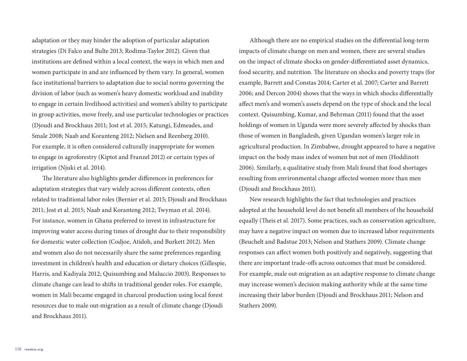adaptation or they may hinder the adoption of particular adaptation strategies (Di Falco and Bulte 2013; Rodima-Taylor 2012). Given that institutions are defined within a local context, the ways in which men and women participate in and are influenced by them vary. In general, women face institutional barriers to adaptation due to social norms governing the division of labor (such as women's heavy domestic workload and inability to engage in certain livelihood activities) and women's ability to participate in group activities, move freely, and use particular technologies or practices (Djoudi and Brockhaus 2011; Jost et al. 2015; Katungi, Edmeades, and Smale 2008; Naab and Koranteng 2012; Nielsen and Reenberg 2010). For example, it is often considered culturally inappropriate for women to engage in agroforestry (Kiptot and Franzel 2012) or certain types of irrigation (Njuki et al. 2014).

The literature also highlights gender differences in preferences for adaptation strategies that vary widely across different contexts, often related to traditional labor roles (Bernier et al. 2015; Djoudi and Brockhaus 2011; Jost et al. 2015; Naab and Koranteng 2012; Twyman et al. 2014). For instance, women in Ghana preferred to invest in infrastructure for improving water access during times of drought due to their responsibility for domestic water collection (Codjoe, Atidoh, and Burkett 2012). Men and women also do not necessarily share the same preferences regarding investment in children's health and education or dietary choices (Gillespie, Harris, and Kadiyala 2012; Quisumbing and Maluccio 2003). Responses to climate change can lead to shifts in traditional gender roles. For example, women in Mali became engaged in charcoal production using local forest resources due to male out-migration as a result of climate change (Djoudi and Brockhaus 2011).

Although there are no empirical studies on the differential long-term impacts of climate change on men and women, there are several studies on the impact of climate shocks on gender-differentiated asset dynamics, food security, and nutrition. The literature on shocks and poverty traps (for example, Barrett and Constas 2014; Carter et al. 2007; Carter and Barrett 2006; and Dercon 2004) shows that the ways in which shocks differentially affect men's and women's assets depend on the type of shock and the local context. Quisumbing, Kumar, and Behrman (2011) found that the asset holdings of women in Uganda were more severely affected by shocks than those of women in Bangladesh, given Ugandan women's larger role in agricultural production. In Zimbabwe, drought appeared to have a negative impact on the body mass index of women but not of men (Hoddinott 2006). Similarly, a qualitative study from Mali found that food shortages resulting from environmental change affected women more than men (Djoudi and Brockhaus 2011).

New research highlights the fact that technologies and practices adopted at the household level do not benefit all members of the household equally (Theis et al. 2017). Some practices, such as conservation agriculture, may have a negative impact on women due to increased labor requirements (Beuchelt and Badstue 2013; Nelson and Stathers 2009). Climate change responses can affect women both positively and negatively, suggesting that there are important trade-offs across outcomes that must be considered. For example, male out-migration as an adaptive response to climate change may increase women's decision making authority while at the same time increasing their labor burden (Djoudi and Brockhaus 2011; Nelson and Stathers 2009).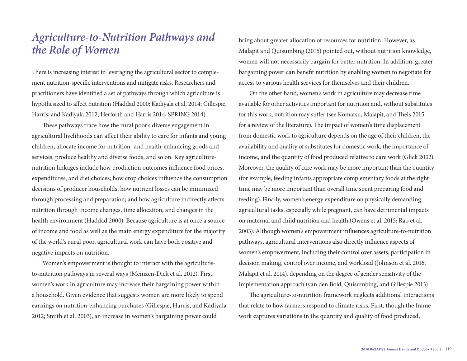## *Agriculture-to-Nutrition Pathways and the Role of Women*

There is increasing interest in leveraging the agricultural sector to complement nutrition-specific interventions and mitigate risks. Researchers and practitioners have identified a set of pathways through which agriculture is hypothesized to affect nutrition (Haddad 2000; Kadiyala et al. 2014; Gillespie, Harris, and Kadiyala 2012; Herforth and Harris 2014; SPRING 2014).

These pathways trace how the rural poor's diverse engagement in agricultural livelihoods can affect their ability to care for infants and young children, allocate income for nutrition- and health-enhancing goods and services, produce healthy and diverse foods, and so on. Key agriculturenutrition linkages include how production outcomes influence food prices, expenditures, and diet choices; how crop choices influence the consumption decisions of producer households; how nutrient losses can be minimized through processing and preparation; and how agriculture indirectly affects nutrition through income changes, time allocation, and changes in the health environment (Haddad 2000). Because agriculture is at once a source of income and food as well as the main energy expenditure for the majority of the world's rural poor, agricultural work can have both positive and negative impacts on nutrition.

Women's empowerment is thought to interact with the agricultureto-nutrition pathways in several ways (Meinzen-Dick et al. 2012). First, women's work in agriculture may increase their bargaining power within a household. Given evidence that suggests women are more likely to spend earnings on nutrition-enhancing purchases (Gillespie, Harris, and Kadiyala 2012; Smith et al. 2003), an increase in women's bargaining power could

bring about greater allocation of resources for nutrition. However, as Malapit and Quisumbing (2015) pointed out, without nutrition knowledge, women will not necessarily bargain for better nutrition. In addition, greater bargaining power can benefit nutrition by enabling women to negotiate for access to various health services for themselves and their children.

On the other hand, women's work in agriculture may decrease time available for other activities important for nutrition and, without substitutes for this work, nutrition may suffer (see Komatsu, Malapit, and Theis 2015 for a review of the literature). The impact of women's time displacement from domestic work to agriculture depends on the age of their children, the availability and quality of substitutes for domestic work, the importance of income, and the quantity of food produced relative to care work (Glick 2002). Moreover, the quality of care work may be more important than the quantity (for example, feeding infants appropriate complementary foods at the right time may be more important than overall time spent preparing food and feeding). Finally, women's energy expenditure on physically demanding agricultural tasks, especially while pregnant, can have detrimental impacts on maternal and child nutrition and health (Owens et al. 2015; Rao et al. 2003). Although women's empowerment influences agriculture-to-nutrition pathways, agricultural interventions also directly influence aspects of women's empowerment, including their control over assets, participation in decision making, control over income, and workload (Johnson et al. 2016; Malapit et al. 2014), depending on the degree of gender sensitivity of the implementation approach (van den Bold, Quisumbing, and Gillespie 2013).

The agriculture-to-nutrition framework neglects additional interactions that relate to how farmers respond to climate risks. First, though the framework captures variations in the quantity and quality of food produced,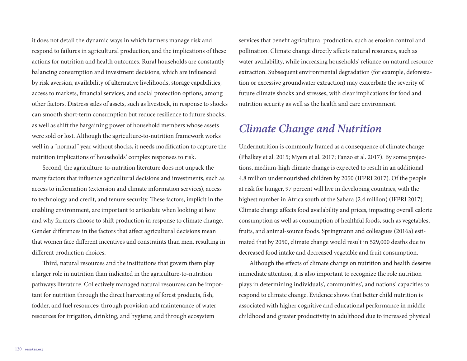it does not detail the dynamic ways in which farmers manage risk and respond to failures in agricultural production, and the implications of these actions for nutrition and health outcomes. Rural households are constantly balancing consumption and investment decisions, which are influenced by risk aversion, availability of alternative livelihoods, storage capabilities, access to markets, financial services, and social protection options, among other factors. Distress sales of assets, such as livestock, in response to shocks can smooth short-term consumption but reduce resilience to future shocks, as well as shift the bargaining power of household members whose assets were sold or lost. Although the agriculture-to-nutrition framework works well in a "normal" year without shocks, it needs modification to capture the nutrition implications of households' complex responses to risk.

Second, the agriculture-to-nutrition literature does not unpack the many factors that influence agricultural decisions and investments, such as access to information (extension and climate information services), access to technology and credit, and tenure security. These factors, implicit in the enabling environment, are important to articulate when looking at how and why farmers choose to shift production in response to climate change. Gender differences in the factors that affect agricultural decisions mean that women face different incentives and constraints than men, resulting in different production choices.

Third, natural resources and the institutions that govern them play a larger role in nutrition than indicated in the agriculture-to-nutrition pathways literature. Collectively managed natural resources can be important for nutrition through the direct harvesting of forest products, fish, fodder, and fuel resources; through provision and maintenance of water resources for irrigation, drinking, and hygiene; and through ecosystem

services that benefit agricultural production, such as erosion control and pollination. Climate change directly affects natural resources, such as water availability, while increasing households' reliance on natural resource extraction. Subsequent environmental degradation (for example, deforestation or excessive groundwater extraction) may exacerbate the severity of future climate shocks and stresses, with clear implications for food and nutrition security as well as the health and care environment.

## *Climate Change and Nutrition*

Undernutrition is commonly framed as a consequence of climate change (Phalkey et al. 2015; Myers et al. 2017; Fanzo et al. 2017). By some projections, medium-high climate change is expected to result in an additional 4.8 million undernourished children by 2050 (IFPRI 2017). Of the people at risk for hunger, 97 percent will live in developing countries, with the highest number in Africa south of the Sahara (2.4 million) (IFPRI 2017). Climate change affects food availability and prices, impacting overall calorie consumption as well as consumption of healthful foods, such as vegetables, fruits, and animal-source foods. Springmann and colleagues (2016a) estimated that by 2050, climate change would result in 529,000 deaths due to decreased food intake and decreased vegetable and fruit consumption.

Although the effects of climate change on nutrition and health deserve immediate attention, it is also important to recognize the role nutrition plays in determining individuals', communities', and nations' capacities to respond to climate change. Evidence shows that better child nutrition is associated with higher cognitive and educational performance in middle childhood and greater productivity in adulthood due to increased physical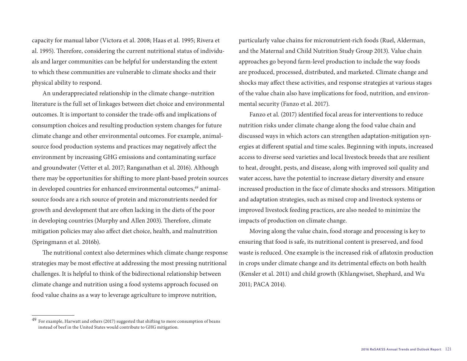capacity for manual labor (Victora et al. 2008; Haas et al. 1995; Rivera et al. 1995). Therefore, considering the current nutritional status of individuals and larger communities can be helpful for understanding the extent to which these communities are vulnerable to climate shocks and their physical ability to respond.

An underappreciated relationship in the climate change–nutrition literature is the full set of linkages between diet choice and environmental outcomes. It is important to consider the trade-offs and implications of consumption choices and resulting production system changes for future climate change and other environmental outcomes. For example, animalsource food production systems and practices may negatively affect the environment by increasing GHG emissions and contaminating surface and groundwater (Vetter et al. 2017; Ranganathan et al. 2016). Although there may be opportunities for shifting to more plant-based protein sources in developed countries for enhanced environmental outcomes,<sup>49</sup> animalsource foods are a rich source of protein and micronutrients needed for growth and development that are often lacking in the diets of the poor in developing countries (Murphy and Allen 2003). Therefore, climate mitigation policies may also affect diet choice, health, and malnutrition (Springmann et al. 2016b).

The nutritional context also determines which climate change response strategies may be most effective at addressing the most pressing nutritional challenges. It is helpful to think of the bidirectional relationship between climate change and nutrition using a food systems approach focused on food value chains as a way to leverage agriculture to improve nutrition,

particularly value chains for micronutrient-rich foods (Ruel, Alderman, and the Maternal and Child Nutrition Study Group 2013). Value chain approaches go beyond farm-level production to include the way foods are produced, processed, distributed, and marketed. Climate change and shocks may affect these activities, and response strategies at various stages of the value chain also have implications for food, nutrition, and environmental security (Fanzo et al. 2017).

Fanzo et al. (2017) identified focal areas for interventions to reduce nutrition risks under climate change along the food value chain and discussed ways in which actors can strengthen adaptation-mitigation synergies at different spatial and time scales. Beginning with inputs, increased access to diverse seed varieties and local livestock breeds that are resilient to heat, drought, pests, and disease, along with improved soil quality and water access, have the potential to increase dietary diversity and ensure increased production in the face of climate shocks and stressors. Mitigation and adaptation strategies, such as mixed crop and livestock systems or improved livestock feeding practices, are also needed to minimize the impacts of production on climate change.

Moving along the value chain, food storage and processing is key to ensuring that food is safe, its nutritional content is preserved, and food waste is reduced. One example is the increased risk of aflatoxin production in crops under climate change and its detrimental effects on both health (Kensler et al. 2011) and child growth (Khlangwiset, Shephard, and Wu 2011; PACA 2014).

<sup>49</sup> For example, Harwatt and others (2017) suggested that shifting to more consumption of beans instead of beef in the United States would contribute to GHG mitigation.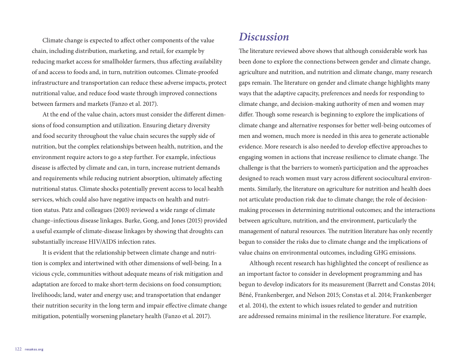Climate change is expected to affect other components of the value chain, including distribution, marketing, and retail, for example by reducing market access for smallholder farmers, thus affecting availability of and access to foods and, in turn, nutrition outcomes. Climate-proofed infrastructure and transportation can reduce these adverse impacts, protect nutritional value, and reduce food waste through improved connections between farmers and markets (Fanzo et al. 2017).

At the end of the value chain, actors must consider the different dimensions of food consumption and utilization. Ensuring dietary diversity and food security throughout the value chain secures the supply side of nutrition, but the complex relationships between health, nutrition, and the environment require actors to go a step further. For example, infectious disease is affected by climate and can, in turn, increase nutrient demands and requirements while reducing nutrient absorption, ultimately affecting nutritional status. Climate shocks potentially prevent access to local health services, which could also have negative impacts on health and nutrition status. Patz and colleagues (2003) reviewed a wide range of climate change–infectious disease linkages. Burke, Gong, and Jones (2015) provided a useful example of climate-disease linkages by showing that droughts can substantially increase HIV/AIDS infection rates.

It is evident that the relationship between climate change and nutrition is complex and intertwined with other dimensions of well-being. In a vicious cycle, communities without adequate means of risk mitigation and adaptation are forced to make short-term decisions on food consumption; livelihoods; land, water and energy use; and transportation that endanger their nutrition security in the long term and impair effective climate change mitigation, potentially worsening planetary health (Fanzo et al. 2017).

### *Discussion*

The literature reviewed above shows that although considerable work has been done to explore the connections between gender and climate change, agriculture and nutrition, and nutrition and climate change, many research gaps remain. The literature on gender and climate change highlights many ways that the adaptive capacity, preferences and needs for responding to climate change, and decision-making authority of men and women may differ. Though some research is beginning to explore the implications of climate change and alternative responses for better well-being outcomes of men and women, much more is needed in this area to generate actionable evidence. More research is also needed to develop effective approaches to engaging women in actions that increase resilience to climate change. The challenge is that the barriers to women's participation and the approaches designed to reach women must vary across different sociocultural environments. Similarly, the literature on agriculture for nutrition and health does not articulate production risk due to climate change; the role of decisionmaking processes in determining nutritional outcomes; and the interactions between agriculture, nutrition, and the environment, particularly the management of natural resources. The nutrition literature has only recently begun to consider the risks due to climate change and the implications of value chains on environmental outcomes, including GHG emissions.

Although recent research has highlighted the concept of resilience as an important factor to consider in development programming and has begun to develop indicators for its measurement (Barrett and Constas 2014; Béné, Frankenberger, and Nelson 2015; Constas et al. 2014; Frankenberger et al. 2014), the extent to which issues related to gender and nutrition are addressed remains minimal in the resilience literature. For example,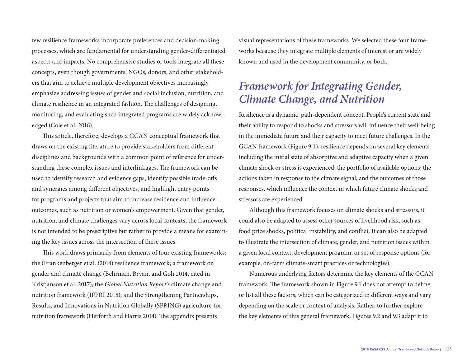few resilience frameworks incorporate preferences and decision-making processes, which are fundamental for understanding gender-differentiated aspects and impacts. No comprehensive studies or tools integrate all these concepts, even though governments, NGOs, donors, and other stakeholders that aim to achieve multiple development objectives increasingly emphasize addressing issues of gender and social inclusion, nutrition, and climate resilience in an integrated fashion. The challenges of designing, monitoring, and evaluating such integrated programs are widely acknowledged (Cole et al. 2016).

This article, therefore, develops a GCAN conceptual framework that draws on the existing literature to provide stakeholders from different disciplines and backgrounds with a common point of reference for understanding these complex issues and interlinkages. The framework can be used to identify research and evidence gaps, identify possible trade-offs and synergies among different objectives, and highlight entry points for programs and projects that aim to increase resilience and influence outcomes, such as nutrition or women's empowerment. Given that gender, nutrition, and climate challenges vary across local contexts, the framework is not intended to be prescriptive but rather to provide a means for examining the key issues across the intersection of these issues.

This work draws primarily from elements of four existing frameworks: the (Frankenberger et al. (2014) resilience framework; a framework on gender and climate change (Behrman, Bryan, and Goh 2014, cited in Kristjanson et al. 2017); the *Global Nutrition Report's* climate change and nutrition framework (IFPRI 2015); and the Strengthening Partnerships, Results, and Innovations in Nutrition Globally (SPRING) agriculture-fornutrition framework (Herforth and Harris 2014). The appendix presents

visual representations of these frameworks. We selected these four frameworks because they integrate multiple elements of interest or are widely known and used in the development community, or both.

## *Framework for Integrating Gender, Climate Change, and Nutrition*

Resilience is a dynamic, path-dependent concept. People's current state and their ability to respond to shocks and stressors will influence their well-being in the immediate future and their capacity to meet future challenges. In the GCAN framework (Figure 9.1), resilience depends on several key elements including the initial state of absorptive and adaptive capacity when a given climate shock or stress is experienced; the portfolio of available options; the actions taken in response to the climate signal; and the outcomes of those responses, which influence the context in which future climate shocks and stressors are experienced.

Although this framework focuses on climate shocks and stressors, it could also be adapted to assess other sources of livelihood risk, such as food price shocks, political instability, and conflict. It can also be adapted to illustrate the intersection of climate, gender, and nutrition issues within a given local context, development program, or set of response options (for example, on-farm climate-smart practices or technologies).

Numerous underlying factors determine the key elements of the GCAN framework. The framework shown in Figure 9.1 does not attempt to define or list all these factors, which can be categorized in different ways and vary depending on the scale or context of analysis. Rather, to further explore the key elements of this general framework, Figures 9.2 and 9.3 adapt it to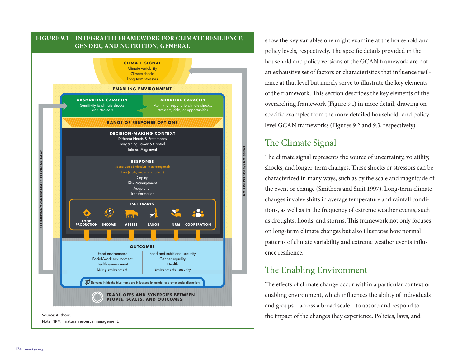

show the key variables one might examine at the household and policy levels, respectively. The specific details provided in the household and policy versions of the GCAN framework are not an exhaustive set of factors or characteristics that influence resilience at that level but merely serve to illustrate the key elements of the framework. This section describes the key elements of the overarching framework (Figure 9.1) in more detail, drawing on specific examples from the more detailed household- and policylevel GCAN frameworks (Figures 9.2 and 9.3, respectively).

#### The Climate Signal

The climate signal represents the source of uncertainty, volatility, shocks, and longer-term changes. These shocks or stressors can be characterized in many ways, such as by the scale and magnitude of the event or change (Smithers and Smit 1997). Long-term climate changes involve shifts in average temperature and rainfall conditions, as well as in the frequency of extreme weather events, such as droughts, floods, and storms. This framework not only focuses on long-term climate changes but also illustrates how normal patterns of climate variability and extreme weather events influence resilience.

## The Enabling Environment

The effects of climate change occur within a particular context or enabling environment, which influences the ability of individuals and groups—across a broad scale—to absorb and respond to the impact of the changes they experience. Policies, laws, and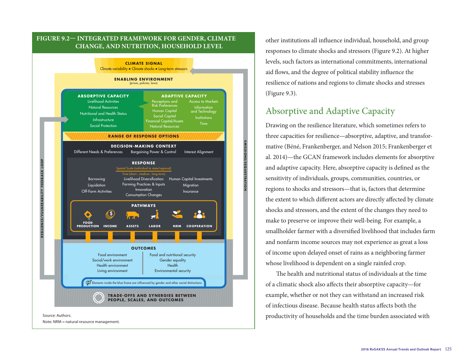

Note: NRM = natural resource management.

other institutions all influence individual, household, and group responses to climate shocks and stressors (Figure 9.2). At higher levels, such factors as international commitments, international aid flows, and the degree of political stability influence the resilience of nations and regions to climate shocks and stresses (Figure 9.3).

#### Absorptive and Adaptive Capacity

**EMISSIONS/SEQUESTRATION**

Drawing on the resilience literature, which sometimes refers to three capacities for resilience—absorptive, adaptive, and transformative (Béné, Frankenberger, and Nelson 2015; Frankenberger et al. 2014)—the GCAN framework includes elements for absorptive and adaptive capacity. Here, absorptive capacity is defined as the sensitivity of individuals, groups, communities, countries, or regions to shocks and stressors—that is, factors that determine the extent to which different actors are directly affected by climate shocks and stressors, and the extent of the changes they need to make to preserve or improve their well-being. For example, a smallholder farmer with a diversified livelihood that includes farm and nonfarm income sources may not experience as great a loss of income upon delayed onset of rains as a neighboring farmer whose livelihood is dependent on a single rainfed crop.

The health and nutritional status of individuals at the time of a climatic shock also affects their absorptive capacity—for example, whether or not they can withstand an increased risk of infectious disease. Because health status affects both the productivity of households and the time burden associated with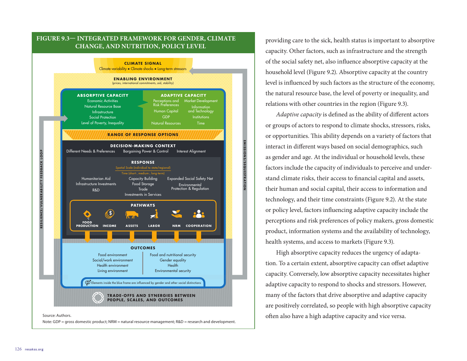

Note: GDP = gross domestic product; NRM = natural resource management; R&D = research and development.

providing care to the sick, health status is important to absorptive capacity. Other factors, such as infrastructure and the strength of the social safety net, also influence absorptive capacity at the household level (Figure 9.2). Absorptive capacity at the country level is influenced by such factors as the structure of the economy, the natural resource base, the level of poverty or inequality, and relations with other countries in the region (Figure 9.3).

*Adaptive capacity* is defined as the ability of different actors or groups of actors to respond to climate shocks, stressors, risks, or opportunities. This ability depends on a variety of factors that interact in different ways based on social demographics, such as gender and age. At the individual or household levels, these factors include the capacity of individuals to perceive and understand climate risks, their access to financial capital and assets, their human and social capital, their access to information and technology, and their time constraints (Figure 9.2). At the state or policy level, factors influencing adaptive capacity include the perceptions and risk preferences of policy makers, gross domestic product, information systems and the availability of technology, health systems, and access to markets (Figure 9.3).

High absorptive capacity reduces the urgency of adaptation. To a certain extent, absorptive capacity can offset adaptive capacity. Conversely, low absorptive capacity necessitates higher adaptive capacity to respond to shocks and stressors. However, many of the factors that drive absorptive and adaptive capacity are positively correlated, so people with high absorptive capacity often also have a high adaptive capacity and vice versa.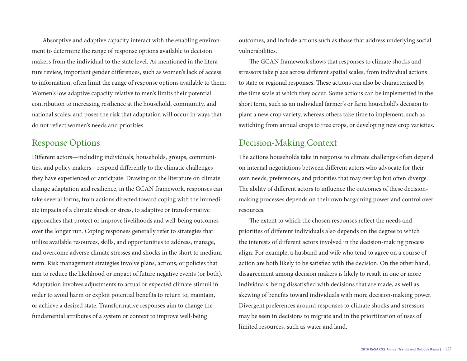Absorptive and adaptive capacity interact with the enabling environment to determine the range of response options available to decision makers from the individual to the state level. As mentioned in the literature review, important gender differences, such as women's lack of access to information, often limit the range of response options available to them. Women's low adaptive capacity relative to men's limits their potential contribution to increasing resilience at the household, community, and national scales, and poses the risk that adaptation will occur in ways that do not reflect women's needs and priorities.

#### Response Options

Different actors—including individuals, households, groups, communities, and policy makers—respond differently to the climatic challenges they have experienced or anticipate. Drawing on the literature on climate change adaptation and resilience, in the GCAN framework, responses can take several forms, from actions directed toward coping with the immediate impacts of a climate shock or stress, to adaptive or transformative approaches that protect or improve livelihoods and well-being outcomes over the longer run. Coping responses generally refer to strategies that utilize available resources, skills, and opportunities to address, manage, and overcome adverse climate stresses and shocks in the short to medium term. Risk management strategies involve plans, actions, or policies that aim to reduce the likelihood or impact of future negative events (or both). Adaptation involves adjustments to actual or expected climate stimuli in order to avoid harm or exploit potential benefits to return to, maintain, or achieve a desired state. Transformative responses aim to change the fundamental attributes of a system or context to improve well-being

outcomes, and include actions such as those that address underlying social vulnerabilities.

The GCAN framework shows that responses to climate shocks and stressors take place across different spatial scales, from individual actions to state or regional responses. These actions can also be characterized by the time scale at which they occur. Some actions can be implemented in the short term, such as an individual farmer's or farm household's decision to plant a new crop variety, whereas others take time to implement, such as switching from annual crops to tree crops, or developing new crop varieties.

#### Decision-Making Context

The actions households take in response to climate challenges often depend on internal negotiations between different actors who advocate for their own needs, preferences, and priorities that may overlap but often diverge. The ability of different actors to influence the outcomes of these decisionmaking processes depends on their own bargaining power and control over resources.

The extent to which the chosen responses reflect the needs and priorities of different individuals also depends on the degree to which the interests of different actors involved in the decision-making process align. For example, a husband and wife who tend to agree on a course of action are both likely to be satisfied with the decision. On the other hand, disagreement among decision makers is likely to result in one or more individuals' being dissatisfied with decisions that are made, as well as skewing of benefits toward individuals with more decision-making power. Divergent preferences around responses to climate shocks and stressors may be seen in decisions to migrate and in the prioritization of uses of limited resources, such as water and land.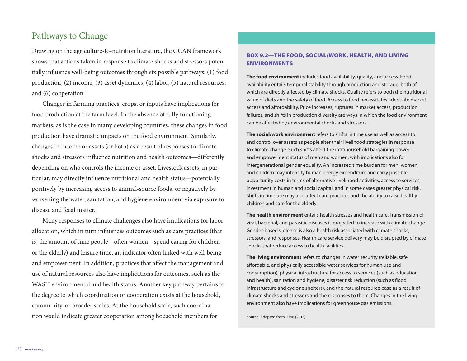#### Pathways to Change

Drawing on the agriculture-to-nutrition literature, the GCAN framework shows that actions taken in response to climate shocks and stressors potentially influence well-being outcomes through six possible pathways: (1) food production, (2) income, (3) asset dynamics, (4) labor, (5) natural resources, and (6) cooperation.

Changes in farming practices, crops, or inputs have implications for food production at the farm level. In the absence of fully functioning markets, as is the case in many developing countries, these changes in food production have dramatic impacts on the food environment. Similarly, changes in income or assets (or both) as a result of responses to climate shocks and stressors influence nutrition and health outcomes—differently depending on who controls the income or asset. Livestock assets, in particular, may directly influence nutritional and health status—potentially positively by increasing access to animal-source foods, or negatively by worsening the water, sanitation, and hygiene environment via exposure to disease and fecal matter.

Many responses to climate challenges also have implications for labor allocation, which in turn influences outcomes such as care practices (that is, the amount of time people—often women—spend caring for children or the elderly) and leisure time, an indicator often linked with well-being and empowerment. In addition, practices that affect the management and use of natural resources also have implications for outcomes, such as the WASH environmental and health status. Another key pathway pertains to the degree to which coordination or cooperation exists at the household, community, or broader scales. At the household scale, such coordination would indicate greater cooperation among household members for

#### BOX 9.2—THE FOOD, SOCIAL/WORK, HEALTH, AND LIVING ENVIRONMENTS

**The food environment** includes food availability, quality, and access. Food availability entails temporal stability through production and storage, both of which are directly affected by climate shocks. Quality refers to both the nutritional value of diets and the safety of food. Access to food necessitates adequate market access and affordability. Price increases, ruptures in market access, production failures, and shifts in production diversity are ways in which the food environment can be affected by environmental shocks and stressors.

**The social/work environment** refers to shifts in time use as well as access to and control over assets as people alter their livelihood strategies in response to climate change. Such shifts affect the intrahousehold bargaining power and empowerment status of men and women, with implications also for intergenerational gender equality. An increased time burden for men, women, and children may intensify human energy expenditure and carry possible opportunity costs in terms of alternative livelihood activities, access to services, investment in human and social capital, and in some cases greater physical risk. Shifts in time use may also affect care practices and the ability to raise healthy children and care for the elderly.

**The health environment** entails health stresses and health care. Transmission of viral, bacterial, and parasitic diseases is projected to increase with climate change. Gender-based violence is also a health risk associated with climate shocks, stressors, and responses. Health care service delivery may be disrupted by climate shocks that reduce access to health facilities.

**The living environment** refers to changes in water security (reliable, safe, affordable, and physically accessible water services for human use and consumption), physical infrastructure for access to services (such as education and health), sanitation and hygiene, disaster risk reduction (such as flood infrastructure and cyclone shelters), and the natural resource base as a result of climate shocks and stressors and the responses to them. Changes in the living environment also have implications for greenhouse gas emissions.

Source: Adapted from IFPRI (2015).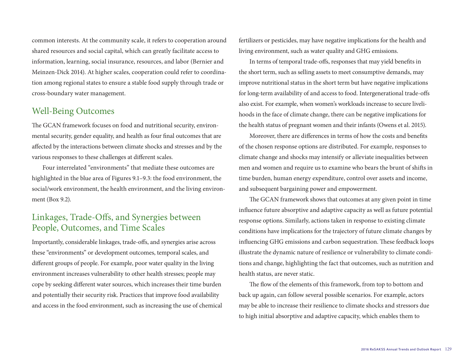common interests. At the community scale, it refers to cooperation around shared resources and social capital, which can greatly facilitate access to information, learning, social insurance, resources, and labor (Bernier and Meinzen-Dick 2014). At higher scales, cooperation could refer to coordination among regional states to ensure a stable food supply through trade or cross-boundary water management.

#### Well-Being Outcomes

The GCAN framework focuses on food and nutritional security, environmental security, gender equality, and health as four final outcomes that are affected by the interactions between climate shocks and stresses and by the various responses to these challenges at different scales.

Four interrelated "environments" that mediate these outcomes are highlighted in the blue area of Figures 9.1–9.3: the food environment, the social/work environment, the health environment, and the living environment (Box 9.2).

#### Linkages, Trade-Offs, and Synergies between People, Outcomes, and Time Scales

Importantly, considerable linkages, trade-offs, and synergies arise across these "environments" or development outcomes, temporal scales, and different groups of people. For example, poor water quality in the living environment increases vulnerability to other health stresses; people may cope by seeking different water sources, which increases their time burden and potentially their security risk. Practices that improve food availability and access in the food environment, such as increasing the use of chemical

fertilizers or pesticides, may have negative implications for the health and living environment, such as water quality and GHG emissions.

In terms of temporal trade-offs, responses that may yield benefits in the short term, such as selling assets to meet consumptive demands, may improve nutritional status in the short term but have negative implications for long-term availability of and access to food. Intergenerational trade-offs also exist. For example, when women's workloads increase to secure livelihoods in the face of climate change, there can be negative implications for the health status of pregnant women and their infants (Owens et al. 2015).

Moreover, there are differences in terms of how the costs and benefits of the chosen response options are distributed. For example, responses to climate change and shocks may intensify or alleviate inequalities between men and women and require us to examine who bears the brunt of shifts in time burden, human energy expenditure, control over assets and income, and subsequent bargaining power and empowerment.

The GCAN framework shows that outcomes at any given point in time influence future absorptive and adaptive capacity as well as future potential response options. Similarly, actions taken in response to existing climate conditions have implications for the trajectory of future climate changes by influencing GHG emissions and carbon sequestration. These feedback loops illustrate the dynamic nature of resilience or vulnerability to climate conditions and change, highlighting the fact that outcomes, such as nutrition and health status, are never static.

The flow of the elements of this framework, from top to bottom and back up again, can follow several possible scenarios. For example, actors may be able to increase their resilience to climate shocks and stressors due to high initial absorptive and adaptive capacity, which enables them to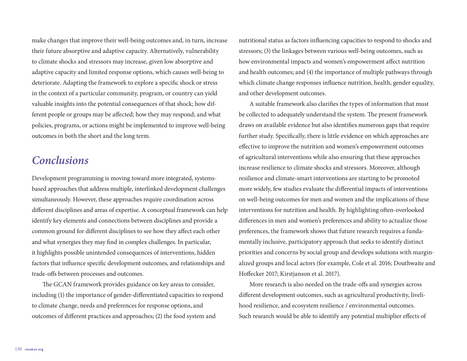make changes that improve their well-being outcomes and, in turn, increase their future absorptive and adaptive capacity. Alternatively, vulnerability to climate shocks and stressors may increase, given low absorptive and adaptive capacity and limited response options, which causes well-being to deteriorate. Adapting the framework to explore a specific shock or stress in the context of a particular community, program, or country can yield valuable insights into the potential consequences of that shock; how different people or groups may be affected; how they may respond; and what policies, programs, or actions might be implemented to improve well-being outcomes in both the short and the long term.

## *Conclusions*

Development programming is moving toward more integrated, systemsbased approaches that address multiple, interlinked development challenges simultaneously. However, these approaches require coordination across different disciplines and areas of expertise. A conceptual framework can help identify key elements and connections between disciplines and provide a common ground for different disciplines to see how they affect each other and what synergies they may find in complex challenges. In particular, it highlights possible unintended consequences of interventions, hidden factors that influence specific development outcomes, and relationships and trade-offs between processes and outcomes.

The GCAN framework provides guidance on key areas to consider, including (1) the importance of gender-differentiated capacities to respond to climate change, needs and preferences for response options, and outcomes of different practices and approaches; (2) the food system and

nutritional status as factors influencing capacities to respond to shocks and stressors; (3) the linkages between various well-being outcomes, such as how environmental impacts and women's empowerment affect nutrition and health outcomes; and (4) the importance of multiple pathways through which climate change responses influence nutrition, health, gender equality, and other development outcomes.

A suitable framework also clarifies the types of information that must be collected to adequately understand the system. The present framework draws on available evidence but also identifies numerous gaps that require further study. Specifically, there is little evidence on which approaches are effective to improve the nutrition and women's empowerment outcomes of agricultural interventions while also ensuring that these approaches increase resilience to climate shocks and stressors. Moreover, although resilience and climate-smart interventions are starting to be promoted more widely, few studies evaluate the differential impacts of interventions on well-being outcomes for men and women and the implications of these interventions for nutrition and health. By highlighting often-overlooked differences in men and women's preferences and ability to actualize those preferences, the framework shows that future research requires a fundamentally inclusive, participatory approach that seeks to identify distinct priorities and concerns by social group and develops solutions with marginalized groups and local actors (for example, Cole et al. 2016; Douthwaite and Hoffecker 2017; Kirstjanson et al. 2017).

More research is also needed on the trade-offs and synergies across different development outcomes, such as agricultural productivity, livelihood resilience, and ecosystem resilience / environmental outcomes. Such research would be able to identify any potential multiplier effects of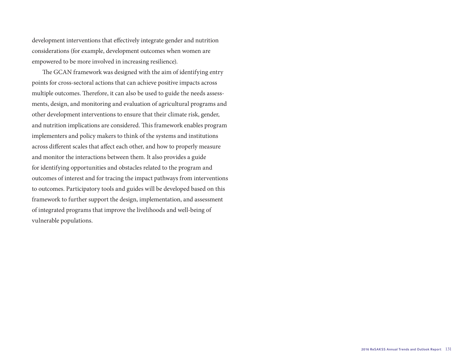development interventions that effectively integrate gender and nutrition considerations (for example, development outcomes when women are empowered to be more involved in increasing resilience).

The GCAN framework was designed with the aim of identifying entry points for cross-sectoral actions that can achieve positive impacts across multiple outcomes. Therefore, it can also be used to guide the needs assessments, design, and monitoring and evaluation of agricultural programs and other development interventions to ensure that their climate risk, gender, and nutrition implications are considered. This framework enables program implementers and policy makers to think of the systems and institutions across different scales that affect each other, and how to properly measure and monitor the interactions between them. It also provides a guide for identifying opportunities and obstacles related to the program and outcomes of interest and for tracing the impact pathways from interventions to outcomes. Participatory tools and guides will be developed based on this framework to further support the design, implementation, and assessment of integrated programs that improve the livelihoods and well-being of vulnerable populations.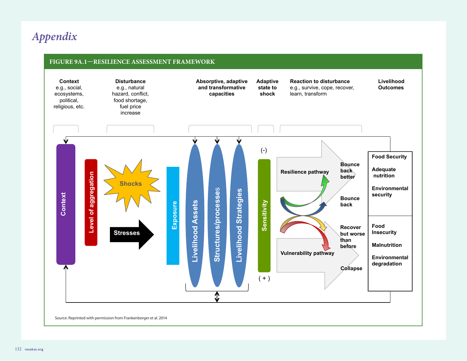# *Appendix*

## **FIGURE 9A.1—RESILIENCE ASSESSMENT FRAMEWORK**

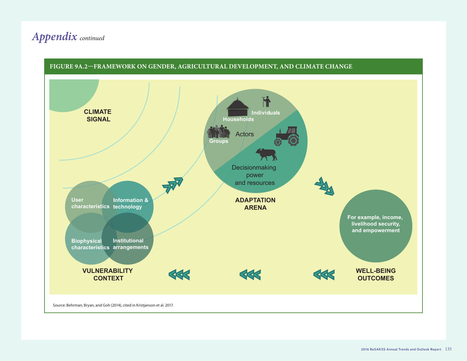# *Appendix continued*

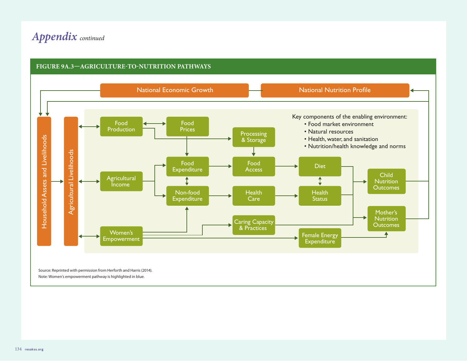# *Appendix continued*



#### **FIGURE 9A.3—AGRICULTURE-TO-NUTRITION PATHWAYS**